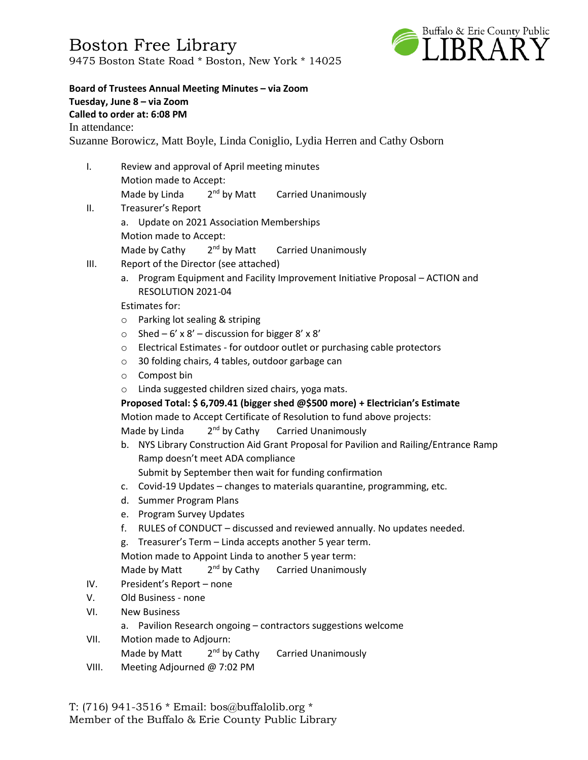Boston Free Library 9475 Boston State Road \* Boston, New York \* 14025



**Board of Trustees Annual Meeting Minutes – via Zoom Tuesday, June 8 – via Zoom Called to order at: 6:08 PM** In attendance: Suzanne Borowicz, Matt Boyle, Linda Coniglio, Lydia Herren and Cathy Osborn

- I. Review and approval of April meeting minutes Motion made to Accept: Made by Linda  $2<sup>nd</sup>$  by Matt Carried Unanimously
- II. Treasurer's Report a. Update on 2021 Association Memberships Motion made to Accept: Made by Cathy 2<sup>nd</sup> by Matt Carried Unanimously
- III. Report of the Director (see attached)
	- a. Program Equipment and Facility Improvement Initiative Proposal ACTION and RESOLUTION 2021-04

Estimates for:

- o Parking lot sealing & striping
- $\circ$  Shed 6' x 8' discussion for bigger 8' x 8'
- o Electrical Estimates for outdoor outlet or purchasing cable protectors
- o 30 folding chairs, 4 tables, outdoor garbage can
- o Compost bin
- o Linda suggested children sized chairs, yoga mats.

**Proposed Total: \$ 6,709.41 (bigger shed @\$500 more) + Electrician's Estimate** Motion made to Accept Certificate of Resolution to fund above projects: Made by Linda 2<sup>nd</sup> by Cathy Carried Unanimously

- b. NYS Library Construction Aid Grant Proposal for Pavilion and Railing/Entrance Ramp Ramp doesn't meet ADA compliance
	- Submit by September then wait for funding confirmation
- c. Covid-19 Updates changes to materials quarantine, programming, etc.
- d. Summer Program Plans
- e. Program Survey Updates
- f. RULES of CONDUCT discussed and reviewed annually. No updates needed.
- g. Treasurer's Term Linda accepts another 5 year term.

Motion made to Appoint Linda to another 5 year term:

Made by Matt 2<sup>nd</sup> by Cathy Carried Unanimously

- IV. President's Report none
- V. Old Business none
- VI. New Business
	- a. Pavilion Research ongoing contractors suggestions welcome
- VII. Motion made to Adjourn:
	- Made by Matt 2<sup>nd</sup> by Cathy Carried Unanimously
- VIII. Meeting Adjourned @ 7:02 PM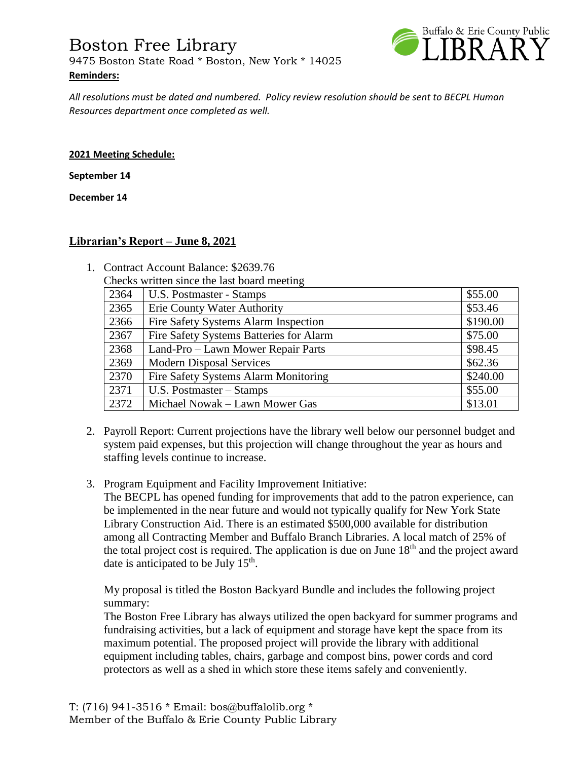## Boston Free Library 9475 Boston State Road \* Boston, New York \* 14025 **Reminders:**



*All resolutions must be dated and numbered. Policy review resolution should be sent to BECPL Human Resources department once completed as well.* 

#### **2021 Meeting Schedule:**

**September 14**

**December 14**

#### **Librarian's Report – June 8, 2021**

- 1. Contract Account Balance: \$2639.76
	- Checks written since the last board meeting

| 2364 | U.S. Postmaster - Stamps                | \$55.00  |
|------|-----------------------------------------|----------|
| 2365 | <b>Erie County Water Authority</b>      | \$53.46  |
| 2366 | Fire Safety Systems Alarm Inspection    | \$190.00 |
| 2367 | Fire Safety Systems Batteries for Alarm | \$75.00  |
| 2368 | Land-Pro – Lawn Mower Repair Parts      | \$98.45  |
| 2369 | <b>Modern Disposal Services</b>         | \$62.36  |
| 2370 | Fire Safety Systems Alarm Monitoring    | \$240.00 |
| 2371 | U.S. Postmaster – Stamps                | \$55.00  |
| 2372 | Michael Nowak – Lawn Mower Gas          | \$13.01  |

- 2. Payroll Report: Current projections have the library well below our personnel budget and system paid expenses, but this projection will change throughout the year as hours and staffing levels continue to increase.
- 3. Program Equipment and Facility Improvement Initiative:

The BECPL has opened funding for improvements that add to the patron experience, can be implemented in the near future and would not typically qualify for New York State Library Construction Aid. There is an estimated \$500,000 available for distribution among all Contracting Member and Buffalo Branch Libraries. A local match of 25% of the total project cost is required. The application is due on June  $18<sup>th</sup>$  and the project award date is anticipated to be July  $15<sup>th</sup>$ .

My proposal is titled the Boston Backyard Bundle and includes the following project summary:

The Boston Free Library has always utilized the open backyard for summer programs and fundraising activities, but a lack of equipment and storage have kept the space from its maximum potential. The proposed project will provide the library with additional equipment including tables, chairs, garbage and compost bins, power cords and cord protectors as well as a shed in which store these items safely and conveniently.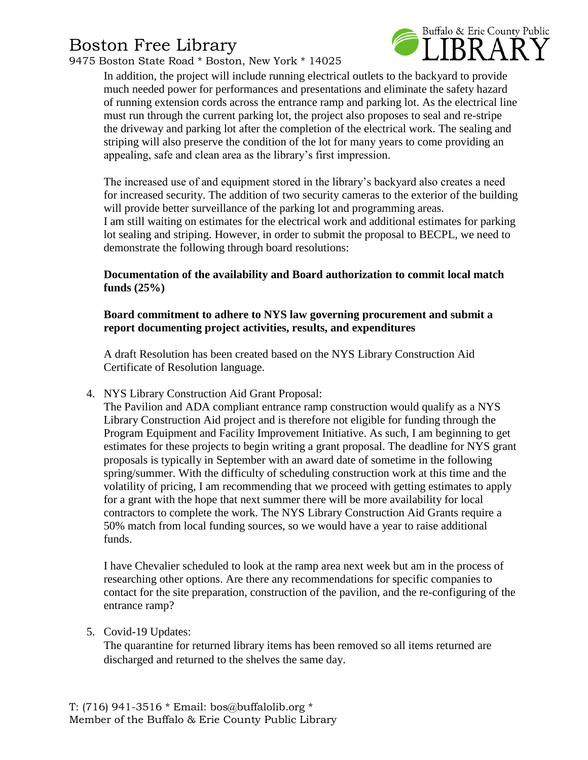# Boston Free Library

9475 Boston State Road \* Boston, New York \* 14025



In addition, the project will include running electrical outlets to the backyard to provide much needed power for performances and presentations and eliminate the safety hazard of running extension cords across the entrance ramp and parking lot. As the electrical line must run through the current parking lot, the project also proposes to seal and re-stripe the driveway and parking lot after the completion of the electrical work. The sealing and striping will also preserve the condition of the lot for many years to come providing an appealing, safe and clean area as the library's first impression.

The increased use of and equipment stored in the library's backyard also creates a need for increased security. The addition of two security cameras to the exterior of the building will provide better surveillance of the parking lot and programming areas. I am still waiting on estimates for the electrical work and additional estimates for parking lot sealing and striping. However, in order to submit the proposal to BECPL, we need to demonstrate the following through board resolutions:

**Documentation of the availability and Board authorization to commit local match funds (25%)**

### **Board commitment to adhere to NYS law governing procurement and submit a report documenting project activities, results, and expenditures**

A draft Resolution has been created based on the NYS Library Construction Aid Certificate of Resolution language.

4. NYS Library Construction Aid Grant Proposal:

The Pavilion and ADA compliant entrance ramp construction would qualify as a NYS Library Construction Aid project and is therefore not eligible for funding through the Program Equipment and Facility Improvement Initiative. As such, I am beginning to get estimates for these projects to begin writing a grant proposal. The deadline for NYS grant proposals is typically in September with an award date of sometime in the following spring/summer. With the difficulty of scheduling construction work at this time and the volatility of pricing, I am recommending that we proceed with getting estimates to apply for a grant with the hope that next summer there will be more availability for local contractors to complete the work. The NYS Library Construction Aid Grants require a 50% match from local funding sources, so we would have a year to raise additional funds.

I have Chevalier scheduled to look at the ramp area next week but am in the process of researching other options. Are there any recommendations for specific companies to contact for the site preparation, construction of the pavilion, and the re-configuring of the entrance ramp?

5. Covid-19 Updates:

The quarantine for returned library items has been removed so all items returned are discharged and returned to the shelves the same day.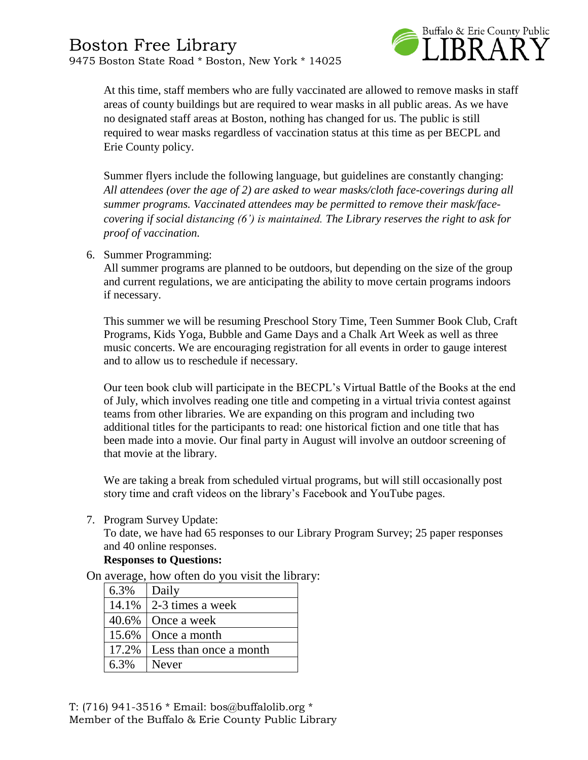

At this time, staff members who are fully vaccinated are allowed to remove masks in staff areas of county buildings but are required to wear masks in all public areas. As we have no designated staff areas at Boston, nothing has changed for us. The public is still required to wear masks regardless of vaccination status at this time as per BECPL and Erie County policy.

Summer flyers include the following language, but guidelines are constantly changing: *All attendees (over the age of 2) are asked to wear masks/cloth face-coverings during all summer programs. Vaccinated attendees may be permitted to remove their mask/facecovering if social distancing (6') is maintained. The Library reserves the right to ask for proof of vaccination.*

6. Summer Programming:

All summer programs are planned to be outdoors, but depending on the size of the group and current regulations, we are anticipating the ability to move certain programs indoors if necessary.

This summer we will be resuming Preschool Story Time, Teen Summer Book Club, Craft Programs, Kids Yoga, Bubble and Game Days and a Chalk Art Week as well as three music concerts. We are encouraging registration for all events in order to gauge interest and to allow us to reschedule if necessary.

Our teen book club will participate in the BECPL's Virtual Battle of the Books at the end of July, which involves reading one title and competing in a virtual trivia contest against teams from other libraries. We are expanding on this program and including two additional titles for the participants to read: one historical fiction and one title that has been made into a movie. Our final party in August will involve an outdoor screening of that movie at the library.

We are taking a break from scheduled virtual programs, but will still occasionally post story time and craft videos on the library's Facebook and YouTube pages.

7. Program Survey Update:

To date, we have had 65 responses to our Library Program Survey; 25 paper responses and 40 online responses.

#### **Responses to Questions:**

On average, how often do you visit the library:

| 6.3%  | Daily                  |
|-------|------------------------|
| 14.1% | 2-3 times a week       |
| 40.6% | Once a week            |
| 15.6% | Once a month           |
| 17.2% | Less than once a month |
| 6.3%  | <b>Never</b>           |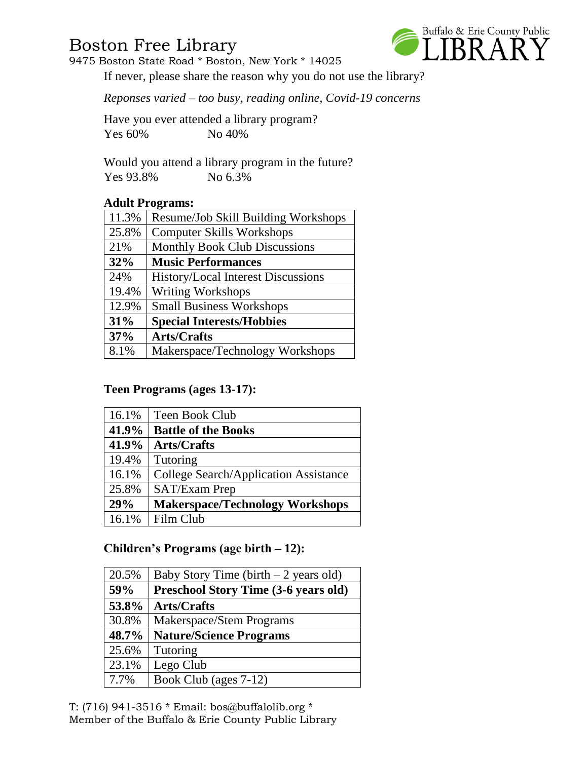## Boston Free Library

Buffalo & Erie County Public

9475 Boston State Road \* Boston, New York \* 14025

If never, please share the reason why you do not use the library?

*Reponses varied – too busy, reading online, Covid-19 concerns*

Have you ever attended a library program? Yes 60% No 40%

Would you attend a library program in the future? Yes 93.8% No 6.3%

## **Adult Programs:**

| 11.3% | Resume/Job Skill Building Workshops       |
|-------|-------------------------------------------|
| 25.8% | <b>Computer Skills Workshops</b>          |
| 21%   | <b>Monthly Book Club Discussions</b>      |
| 32%   | <b>Music Performances</b>                 |
| 24%   | <b>History/Local Interest Discussions</b> |
| 19.4% | <b>Writing Workshops</b>                  |
| 12.9% | <b>Small Business Workshops</b>           |
| 31%   | <b>Special Interests/Hobbies</b>          |
| 37%   | <b>Arts/Crafts</b>                        |
| 8.1%  | Makerspace/Technology Workshops           |

## **Teen Programs (ages 13-17):**

| 16.1% | Teen Book Club                         |  |
|-------|----------------------------------------|--|
| 41.9% | <b>Battle of the Books</b>             |  |
| 41.9% | <b>Arts/Crafts</b>                     |  |
| 19.4% | Tutoring                               |  |
| 16.1% | College Search/Application Assistance  |  |
| 25.8% | <b>SAT/Exam Prep</b>                   |  |
| 29%   | <b>Makerspace/Technology Workshops</b> |  |
| 16.1% | Film Club                              |  |

## **Children's Programs (age birth – 12):**

| 20.5% | Baby Story Time (birth $-2$ years old)      |
|-------|---------------------------------------------|
| 59%   | <b>Preschool Story Time (3-6 years old)</b> |
| 53.8% | <b>Arts/Crafts</b>                          |
| 30.8% | Makerspace/Stem Programs                    |
| 48.7% | <b>Nature/Science Programs</b>              |
| 25.6% | Tutoring                                    |
| 23.1% | Lego Club                                   |
| 7.7%  | Book Club (ages 7-12)                       |